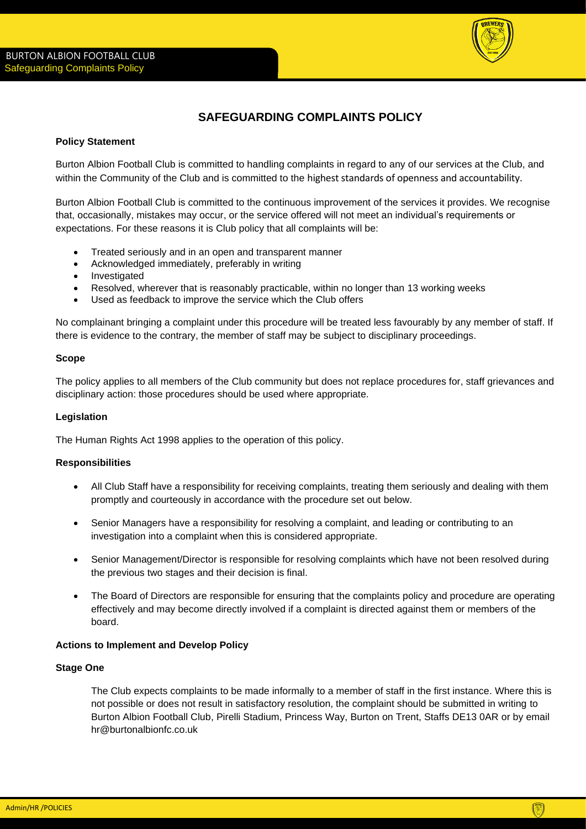

# **SAFEGUARDING COMPLAINTS POLICY**

# **Policy Statement**

Burton Albion Football Club is committed to handling complaints in regard to any of our services at the Club, and within the Community of the Club and is committed to the highest standards of openness and accountability.

Burton Albion Football Club is committed to the continuous improvement of the services it provides. We recognise that, occasionally, mistakes may occur, or the service offered will not meet an individual's requirements or expectations. For these reasons it is Club policy that all complaints will be:

- Treated seriously and in an open and transparent manner
- Acknowledged immediately, preferably in writing
- Investigated
- Resolved, wherever that is reasonably practicable, within no longer than 13 working weeks
- Used as feedback to improve the service which the Club offers

No complainant bringing a complaint under this procedure will be treated less favourably by any member of staff. If there is evidence to the contrary, the member of staff may be subject to disciplinary proceedings.

## **Scope**

The policy applies to all members of the Club community but does not replace procedures for, staff grievances and disciplinary action: those procedures should be used where appropriate.

# **Legislation**

The Human Rights Act 1998 applies to the operation of this policy.

## **Responsibilities**

- All Club Staff have a responsibility for receiving complaints, treating them seriously and dealing with them promptly and courteously in accordance with the procedure set out below.
- Senior Managers have a responsibility for resolving a complaint, and leading or contributing to an investigation into a complaint when this is considered appropriate.
- Senior Management/Director is responsible for resolving complaints which have not been resolved during the previous two stages and their decision is final.
- The Board of Directors are responsible for ensuring that the complaints policy and procedure are operating effectively and may become directly involved if a complaint is directed against them or members of the board.

## **Actions to Implement and Develop Policy**

## **Stage One**

The Club expects complaints to be made informally to a member of staff in the first instance. Where this is not possible or does not result in satisfactory resolution, the complaint should be submitted in writing to Burton Albion Football Club, Pirelli Stadium, Princess Way, Burton on Trent, Staffs DE13 0AR or by email hr@burtonalbionfc.co.uk